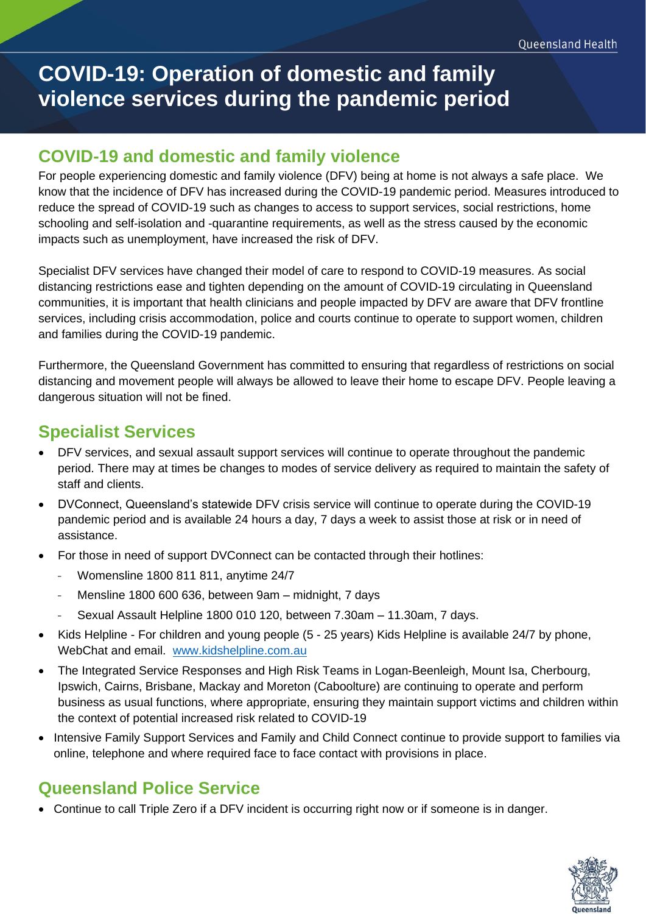# **COVID-19: Operation of domestic and family violence services during the pandemic period**

#### **COVID-19 and domestic and family violence**

For people experiencing domestic and family violence (DFV) being at home is not always a safe place. We know that the incidence of DFV has increased during the COVID-19 pandemic period. Measures introduced to reduce the spread of COVID-19 such as changes to access to support services, social restrictions, home schooling and self-isolation and -quarantine requirements, as well as the stress caused by the economic impacts such as unemployment, have increased the risk of DFV.

Specialist DFV services have changed their model of care to respond to COVID-19 measures. As social distancing restrictions ease and tighten depending on the amount of COVID-19 circulating in Queensland communities, it is important that health clinicians and people impacted by DFV are aware that DFV frontline services, including crisis accommodation, police and courts continue to operate to support women, children and families during the COVID-19 pandemic.

Furthermore, the Queensland Government has committed to ensuring that regardless of restrictions on social distancing and movement people will always be allowed to leave their home to escape DFV. People leaving a dangerous situation will not be fined.

### **Specialist Services**

- DFV services, and sexual assault support services will continue to operate throughout the pandemic period. There may at times be changes to modes of service delivery as required to maintain the safety of staff and clients.
- DVConnect, Queensland's statewide DFV crisis service will continue to operate during the COVID-19 pandemic period and is available 24 hours a day, 7 days a week to assist those at risk or in need of assistance.
- For those in need of support DVConnect can be contacted through their hotlines:
	- Womensline 1800 811 811, anytime 24/7
	- Mensline 1800 600 636, between 9am midnight, 7 days
	- Sexual Assault Helpline 1800 010 120, between 7.30am 11.30am, 7 days.
- Kids Helpline For children and young people (5 25 years) Kids Helpline is available 24/7 by phone, WebChat and email. [www.kidshelpline.com.au](http://www.kidshelpline.com.au/)
- The Integrated Service Responses and High Risk Teams in Logan-Beenleigh, Mount Isa, Cherbourg, Ipswich, Cairns, Brisbane, Mackay and Moreton (Caboolture) are continuing to operate and perform business as usual functions, where appropriate, ensuring they maintain support victims and children within the context of potential increased risk related to COVID-19
- Intensive Family Support Services and Family and Child Connect continue to provide support to families via online, telephone and where required face to face contact with provisions in place.

# **Queensland Police Service**

• Continue to call Triple Zero if a DFV incident is occurring right now or if someone is in danger.

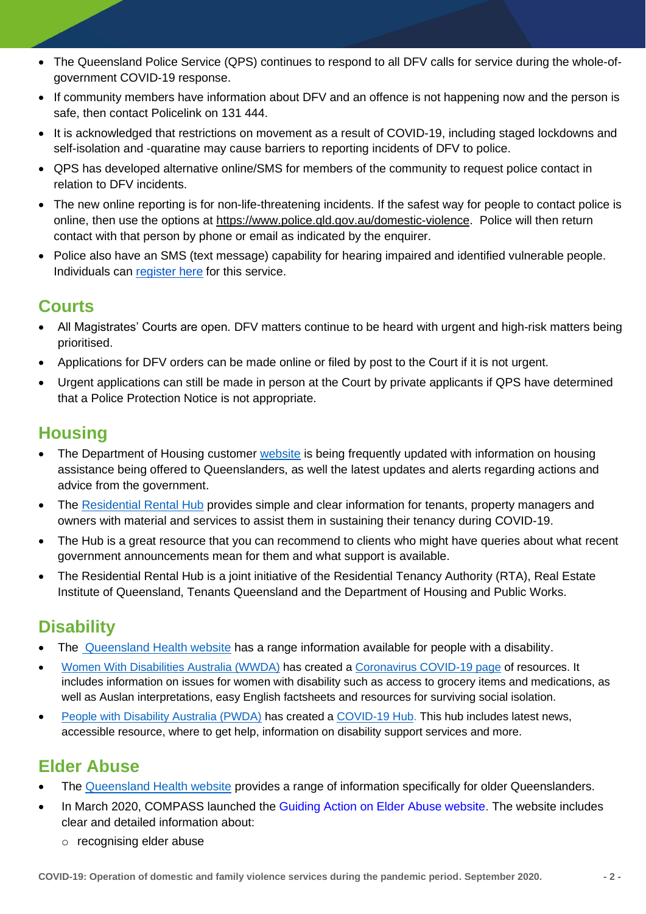- The Queensland Police Service (QPS) continues to respond to all DFV calls for service during the whole-ofgovernment COVID-19 response.
- If community members have information about DFV and an offence is not happening now and the person is safe, then contact Policelink on 131 444.
- It is acknowledged that restrictions on movement as a result of COVID-19, including staged lockdowns and self-isolation and -quaratine may cause barriers to reporting incidents of DFV to police.
- QPS has developed alternative online/SMS for members of the community to request police contact in relation to DFV incidents.
- The new online reporting is for non-life-threatening incidents. If the safest way for people to contact police is online, then use the options at [https://www.police.qld.gov.au/domestic-violence.](https://www.police.qld.gov.au/domestic-violence) Police will then return contact with that person by phone or email as indicated by the enquirer.
- Police also have an SMS (text message) capability for hearing impaired and identified vulnerable people. Individuals can [register here](https://www.police.qld.gov.au/units/policelink-131-444/message-service-for-deaf-hearing-impaired-and-vulnerable-persons) for this service.

#### **Courts**

- All Magistrates' Courts are open. DFV matters continue to be heard with urgent and high-risk matters being prioritised.
- Applications for DFV orders can be made online or filed by post to the Court if it is not urgent.
- Urgent applications can still be made in person at the Court by private applicants if QPS have determined that a Police Protection Notice is not appropriate.

#### **Housing**

- The Department of Housing customer [website](https://www.hpw.qld.gov.au/news-publications/news?topic=covid19-housing) is being frequently updated with information on housing assistance being offered to Queenslanders, as well the latest updates and alerts regarding actions and advice from the government.
- The [Residential Rental Hub](https://www.covid19.qld.gov.au/the-hub) provides simple and clear information for tenants, property managers and owners with material and services to assist them in sustaining their tenancy during COVID-19.
- The Hub is a great resource that you can recommend to clients who might have queries about what recent government announcements mean for them and what support is available.
- The Residential Rental Hub is a joint initiative of the Residential Tenancy Authority (RTA), Real Estate Institute of Queensland, Tenants Queensland and the Department of Housing and Public Works.

# **Disability**

- The [Queensland Health website](https://www.qld.gov.au/health/conditions/health-alerts/coronavirus-covid-19/information-for/people-with-a-disability) has a range information available for people with a disability.
- [Women With Disabilities Australia \(WWDA\)](http://wwda.org.au/) has created a [Coronavirus COVID-19 page](http://wwda.org.au/coronavirus-covid-19/) of resources. It includes information on issues for women with disability such as access to grocery items and medications, as well as Auslan interpretations, easy English factsheets and resources for surviving social isolation.
- [People with Disability Australia \(PWDA\)](https://pwd.org.au/) has created a [COVID-19 Hub.](https://pwd.org.au/covid-19-hub/) This hub includes latest news, accessible resource, where to get help, information on disability support services and more.

# **Elder Abuse**

- The [Queensland Health website](https://www.qld.gov.au/health/conditions/health-alerts/coronavirus-covid-19/information-for/older-queenslanders) provides a range of information specifically for older Queenslanders.
- In March 2020, COMPASS launched the [Guiding Action on Elder Abuse website.](https://health.us10.list-manage.com/track/click?u=1108de8332cef333bc1956686&id=ed9b86c7e5&e=1751ecdc08&utm_source=National_Seniors_Australia&utm_medium=Email&utm_campaign=Connect%20E-News&utm_content=Connect%20E-News%20120320) The website includes clear and detailed information about:
	- o recognising elder abuse